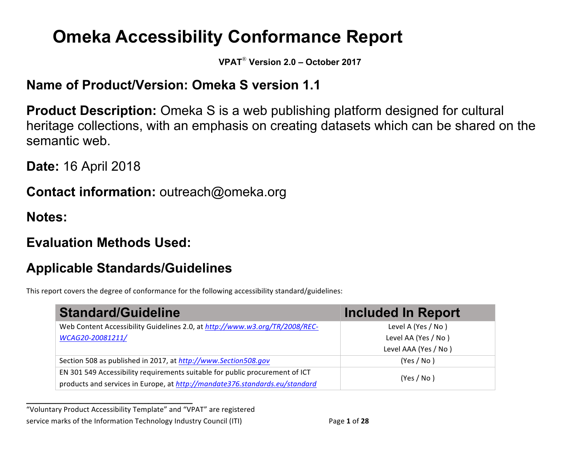# **Omeka Accessibility Conformance Report**

**VPAT**® **Version 2.0 – October 2017**

## **Name of Product/Version: Omeka S version 1.1**

**Product Description:** Omeka S is a web publishing platform designed for cultural heritage collections, with an emphasis on creating datasets which can be shared on the semantic web.

**Date:** 16 April 2018

**Contact information:** outreach@omeka.org

**Notes:**

# **Evaluation Methods Used:**

**\_\_\_\_\_\_\_\_\_\_\_\_\_\_\_\_\_\_\_\_\_\_\_\_\_\_\_\_\_\_\_\_\_\_**

# **Applicable Standards/Guidelines**

This report covers the degree of conformance for the following accessibility standard/guidelines:

| <b>Standard/Guideline</b>                                                    | <b>Included In Report</b> |  |
|------------------------------------------------------------------------------|---------------------------|--|
| Web Content Accessibility Guidelines 2.0, at http://www.w3.org/TR/2008/REC-  | Level A (Yes / No)        |  |
| WCAG20-20081211/                                                             | Level AA (Yes / No)       |  |
|                                                                              | Level AAA (Yes / No)      |  |
| Section 508 as published in 2017, at http://www.Section508.gov               | (Yes / No)                |  |
| EN 301 549 Accessibility requirements suitable for public procurement of ICT | (Yes / No)                |  |
| products and services in Europe, at http://mandate376.standards.eu/standard  |                           |  |

"Voluntary Product Accessibility Template" and "VPAT" are registered service marks of the Information Technology Industry Council (ITI) Page 1 of 28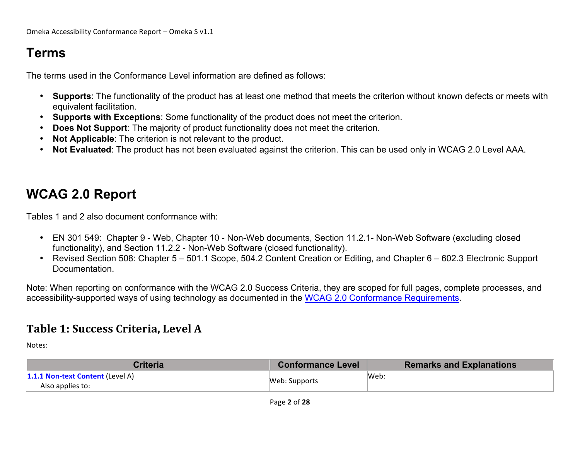# **Terms**

The terms used in the Conformance Level information are defined as follows:

- **Supports**: The functionality of the product has at least one method that meets the criterion without known defects or meets with equivalent facilitation.
- **Supports with Exceptions**: Some functionality of the product does not meet the criterion.
- **Does Not Support:** The majority of product functionality does not meet the criterion.
- **Not Applicable**: The criterion is not relevant to the product.
- **Not Evaluated**: The product has not been evaluated against the criterion. This can be used only in WCAG 2.0 Level AAA.

# **WCAG 2.0 Report**

Tables 1 and 2 also document conformance with:

- EN 301 549: Chapter 9 Web, Chapter 10 Non-Web documents, Section 11.2.1- Non-Web Software (excluding closed functionality), and Section 11.2.2 - Non-Web Software (closed functionality).
- Revised Section 508: Chapter 5 501.1 Scope, 504.2 Content Creation or Editing, and Chapter 6 602.3 Electronic Support Documentation.

Note: When reporting on conformance with the WCAG 2.0 Success Criteria, they are scoped for full pages, complete processes, and accessibility-supported ways of using technology as documented in the WCAG 2.0 Conformance Requirements.

#### **Table 1: Success Criteria, Level A**

| <b>Criteria</b>                                             | <b>Conformance Level</b> | <b>Remarks and Explanations</b> |
|-------------------------------------------------------------|--------------------------|---------------------------------|
| <b>1.1.1 Non-text Content (Level A)</b><br>Also applies to: | Web: Supports            | Web:                            |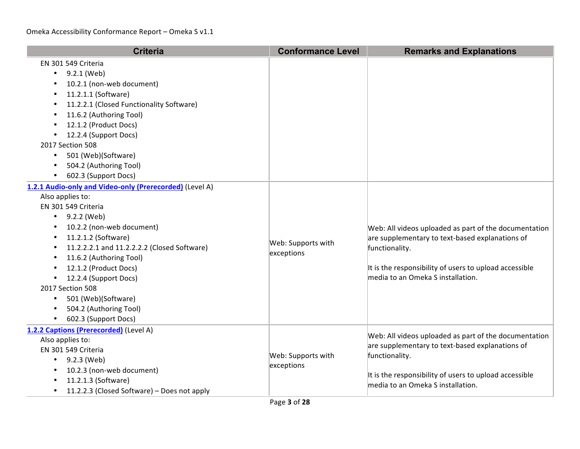| <b>Criteria</b>                                                                                                                                                                                                                                                                                                                                                                                                               | <b>Conformance Level</b>         | <b>Remarks and Explanations</b>                                                                                                                                                                                           |
|-------------------------------------------------------------------------------------------------------------------------------------------------------------------------------------------------------------------------------------------------------------------------------------------------------------------------------------------------------------------------------------------------------------------------------|----------------------------------|---------------------------------------------------------------------------------------------------------------------------------------------------------------------------------------------------------------------------|
| EN 301 549 Criteria<br>9.2.1 (Web)<br>10.2.1 (non-web document)<br>11.2.1.1 (Software)<br>11.2.2.1 (Closed Functionality Software)<br>11.6.2 (Authoring Tool)<br>٠<br>12.1.2 (Product Docs)<br>12.2.4 (Support Docs)<br>2017 Section 508<br>501 (Web)(Software)<br>$\bullet$<br>504.2 (Authoring Tool)<br>602.3 (Support Docs)                                                                                                |                                  |                                                                                                                                                                                                                           |
| 1.2.1 Audio-only and Video-only (Prerecorded) (Level A)<br>Also applies to:<br>EN 301 549 Criteria<br>9.2.2 (Web)<br>$\bullet$<br>10.2.2 (non-web document)<br>11.2.1.2 (Software)<br>٠<br>11.2.2.2.1 and 11.2.2.2.2 (Closed Software)<br>11.6.2 (Authoring Tool)<br>12.1.2 (Product Docs)<br>12.2.4 (Support Docs)<br>2017 Section 508<br>501 (Web)(Software)<br>$\bullet$<br>504.2 (Authoring Tool)<br>602.3 (Support Docs) | Web: Supports with<br>exceptions | Web: All videos uploaded as part of the documentation<br>are supplementary to text-based explanations of<br>functionality.<br>It is the responsibility of users to upload accessible<br>media to an Omeka S installation. |
| 1.2.2 Captions (Prerecorded) (Level A)<br>Also applies to:<br>EN 301 549 Criteria<br>• $9.2.3$ (Web)<br>10.2.3 (non-web document)<br>11.2.1.3 (Software)<br>11.2.2.3 (Closed Software) - Does not apply                                                                                                                                                                                                                       | Web: Supports with<br>exceptions | Web: All videos uploaded as part of the documentation<br>are supplementary to text-based explanations of<br>functionality.<br>It is the responsibility of users to upload accessible<br>media to an Omeka S installation. |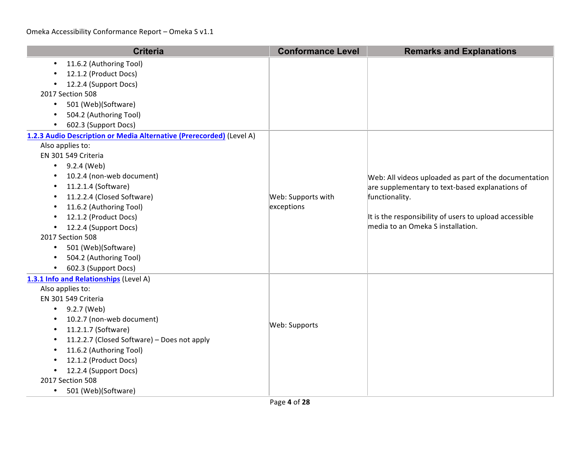| <b>Criteria</b>                                                                                                                                                                                                                                                                                                                                                                                                                                     | <b>Conformance Level</b>         | <b>Remarks and Explanations</b>                                                                                                                                                                                           |
|-----------------------------------------------------------------------------------------------------------------------------------------------------------------------------------------------------------------------------------------------------------------------------------------------------------------------------------------------------------------------------------------------------------------------------------------------------|----------------------------------|---------------------------------------------------------------------------------------------------------------------------------------------------------------------------------------------------------------------------|
| 11.6.2 (Authoring Tool)<br>$\bullet$<br>12.1.2 (Product Docs)<br>12.2.4 (Support Docs)<br>2017 Section 508<br>501 (Web)(Software)<br>$\bullet$<br>504.2 (Authoring Tool)<br>602.3 (Support Docs)<br>$\bullet$                                                                                                                                                                                                                                       |                                  |                                                                                                                                                                                                                           |
| 1.2.3 Audio Description or Media Alternative (Prerecorded) (Level A)<br>Also applies to:<br>EN 301 549 Criteria<br>9.2.4 (Web)<br>$\bullet$<br>10.2.4 (non-web document)<br>$\bullet$<br>11.2.1.4 (Software)<br>$\bullet$<br>11.2.2.4 (Closed Software)<br>11.6.2 (Authoring Tool)<br>12.1.2 (Product Docs)<br>12.2.4 (Support Docs)<br>٠<br>2017 Section 508<br>501 (Web)(Software)<br>$\bullet$<br>504.2 (Authoring Tool)<br>602.3 (Support Docs) | Web: Supports with<br>exceptions | Web: All videos uploaded as part of the documentation<br>are supplementary to text-based explanations of<br>functionality.<br>It is the responsibility of users to upload accessible<br>media to an Omeka S installation. |
| 1.3.1 Info and Relationships (Level A)<br>Also applies to:<br>EN 301 549 Criteria<br>9.2.7 (Web)<br>$\bullet$<br>10.2.7 (non-web document)<br>11.2.1.7 (Software)<br>11.2.2.7 (Closed Software) - Does not apply<br>11.6.2 (Authoring Tool)<br>12.1.2 (Product Docs)<br>12.2.4 (Support Docs)<br>2017 Section 508<br>501 (Web)(Software)<br>$\bullet$                                                                                               | Web: Supports                    |                                                                                                                                                                                                                           |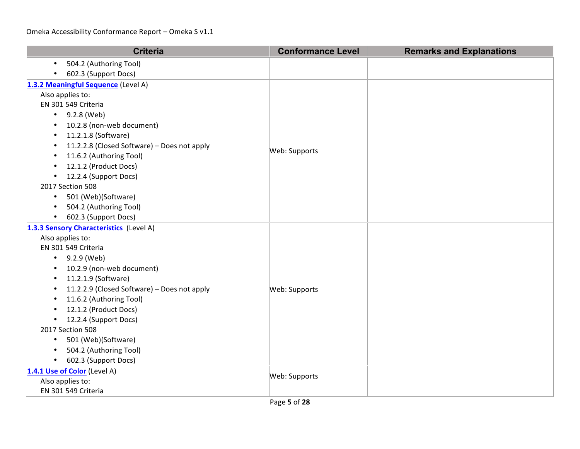| <b>Criteria</b>                                          | <b>Conformance Level</b> | <b>Remarks and Explanations</b> |
|----------------------------------------------------------|--------------------------|---------------------------------|
| 504.2 (Authoring Tool)<br>$\bullet$                      |                          |                                 |
| 602.3 (Support Docs)                                     |                          |                                 |
| 1.3.2 Meaningful Sequence (Level A)                      |                          |                                 |
| Also applies to:                                         |                          |                                 |
| EN 301 549 Criteria                                      |                          |                                 |
| $-9.2.8$ (Web)                                           |                          |                                 |
| 10.2.8 (non-web document)<br>$\bullet$                   |                          |                                 |
| 11.2.1.8 (Software)<br>٠                                 |                          |                                 |
| 11.2.2.8 (Closed Software) - Does not apply<br>$\bullet$ | Web: Supports            |                                 |
| 11.6.2 (Authoring Tool)<br>$\bullet$                     |                          |                                 |
| 12.1.2 (Product Docs)<br>$\bullet$                       |                          |                                 |
| • 12.2.4 (Support Docs)                                  |                          |                                 |
| 2017 Section 508                                         |                          |                                 |
| 501 (Web)(Software)<br>$\bullet$                         |                          |                                 |
| 504.2 (Authoring Tool)<br>$\bullet$                      |                          |                                 |
| 602.3 (Support Docs)<br>$\bullet$                        |                          |                                 |
| 1.3.3 Sensory Characteristics (Level A)                  |                          |                                 |
| Also applies to:                                         |                          |                                 |
| EN 301 549 Criteria                                      |                          |                                 |
| 9.2.9 (Web)<br>$\bullet$                                 |                          |                                 |
| 10.2.9 (non-web document)                                |                          |                                 |
| 11.2.1.9 (Software)<br>$\bullet$                         |                          |                                 |
| 11.2.2.9 (Closed Software) - Does not apply<br>٠         | Web: Supports            |                                 |
| 11.6.2 (Authoring Tool)<br>$\bullet$                     |                          |                                 |
| 12.1.2 (Product Docs)<br>$\bullet$                       |                          |                                 |
| 12.2.4 (Support Docs)<br>$\bullet$                       |                          |                                 |
| 2017 Section 508                                         |                          |                                 |
| 501 (Web)(Software)<br>$\bullet$                         |                          |                                 |
| 504.2 (Authoring Tool)                                   |                          |                                 |
| 602.3 (Support Docs)<br>$\bullet$                        |                          |                                 |
| 1.4.1 Use of Color (Level A)                             | Web: Supports            |                                 |
| Also applies to:                                         |                          |                                 |
| EN 301 549 Criteria                                      |                          |                                 |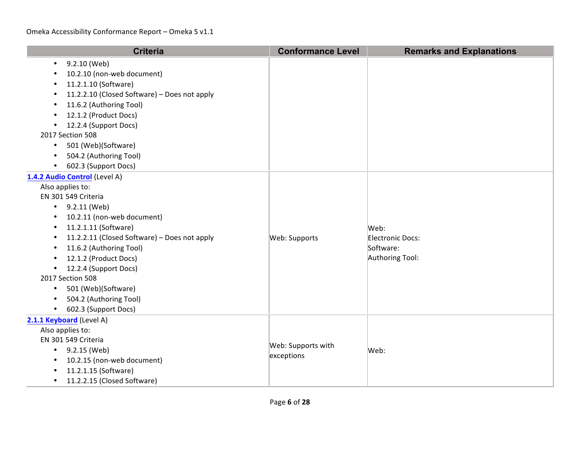| <b>Criteria</b>                                                                                                                                                                                                                                                                                                                                                                                                                                | <b>Conformance Level</b>         | <b>Remarks and Explanations</b>                          |
|------------------------------------------------------------------------------------------------------------------------------------------------------------------------------------------------------------------------------------------------------------------------------------------------------------------------------------------------------------------------------------------------------------------------------------------------|----------------------------------|----------------------------------------------------------|
| 9.2.10 (Web)<br>$\bullet$<br>10.2.10 (non-web document)<br>11.2.1.10 (Software)<br>11.2.2.10 (Closed Software) - Does not apply<br>11.6.2 (Authoring Tool)<br>12.1.2 (Product Docs)<br>12.2.4 (Support Docs)<br>$\bullet$<br>2017 Section 508<br>501 (Web)(Software)<br>504.2 (Authoring Tool)<br>602.3 (Support Docs)                                                                                                                         |                                  |                                                          |
| 1.4.2 Audio Control (Level A)<br>Also applies to:<br>EN 301 549 Criteria<br>9.2.11 (Web)<br>$\bullet$<br>10.2.11 (non-web document)<br>$\bullet$<br>11.2.1.11 (Software)<br>11.2.2.11 (Closed Software) - Does not apply<br>٠<br>11.6.2 (Authoring Tool)<br>$\bullet$<br>12.1.2 (Product Docs)<br>12.2.4 (Support Docs)<br>2017 Section 508<br>501 (Web)(Software)<br>$\bullet$<br>504.2 (Authoring Tool)<br>$\bullet$<br>602.3 (Support Docs) | Web: Supports                    | Web:<br>Electronic Docs:<br>Software:<br>Authoring Tool: |
| 2.1.1 Keyboard (Level A)<br>Also applies to:<br>EN 301 549 Criteria<br>9.2.15 (Web)<br>$\bullet$<br>10.2.15 (non-web document)<br>11.2.1.15 (Software)<br>11.2.2.15 (Closed Software)<br>$\bullet$                                                                                                                                                                                                                                             | Web: Supports with<br>exceptions | Web:                                                     |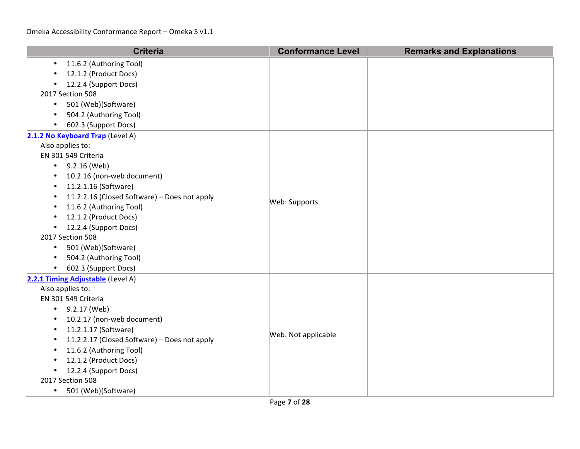| <b>Criteria</b>                              | <b>Conformance Level</b> | <b>Remarks and Explanations</b> |
|----------------------------------------------|--------------------------|---------------------------------|
| 11.6.2 (Authoring Tool)                      |                          |                                 |
| 12.1.2 (Product Docs)                        |                          |                                 |
| 12.2.4 (Support Docs)                        |                          |                                 |
| 2017 Section 508                             |                          |                                 |
| 501 (Web)(Software)<br>$\bullet$             |                          |                                 |
| 504.2 (Authoring Tool)<br>$\bullet$          |                          |                                 |
| 602.3 (Support Docs)                         |                          |                                 |
| 2.1.2 No Keyboard Trap (Level A)             |                          |                                 |
| Also applies to:                             |                          |                                 |
| EN 301 549 Criteria                          |                          |                                 |
| 9.2.16 (Web)<br>$\bullet$                    |                          |                                 |
| 10.2.16 (non-web document)<br>$\bullet$      |                          |                                 |
| 11.2.1.16 (Software)<br>$\bullet$            |                          |                                 |
| 11.2.2.16 (Closed Software) - Does not apply | Web: Supports            |                                 |
| 11.6.2 (Authoring Tool)                      |                          |                                 |
| 12.1.2 (Product Docs)                        |                          |                                 |
| 12.2.4 (Support Docs)<br>٠                   |                          |                                 |
| 2017 Section 508                             |                          |                                 |
| 501 (Web)(Software)<br>$\bullet$             |                          |                                 |
| 504.2 (Authoring Tool)                       |                          |                                 |
| 602.3 (Support Docs)<br>$\bullet$            |                          |                                 |
| 2.2.1 Timing Adjustable (Level A)            |                          |                                 |
| Also applies to:                             |                          |                                 |
| EN 301 549 Criteria                          |                          |                                 |
| 9.2.17 (Web)<br>$\bullet$                    |                          |                                 |
| 10.2.17 (non-web document)                   |                          |                                 |
| 11.2.1.17 (Software)                         | Web: Not applicable      |                                 |
| 11.2.2.17 (Closed Software) - Does not apply |                          |                                 |
| 11.6.2 (Authoring Tool)                      |                          |                                 |
| 12.1.2 (Product Docs)                        |                          |                                 |
| 12.2.4 (Support Docs)                        |                          |                                 |
| 2017 Section 508                             |                          |                                 |
| 501 (Web)(Software)<br>$\bullet$             |                          |                                 |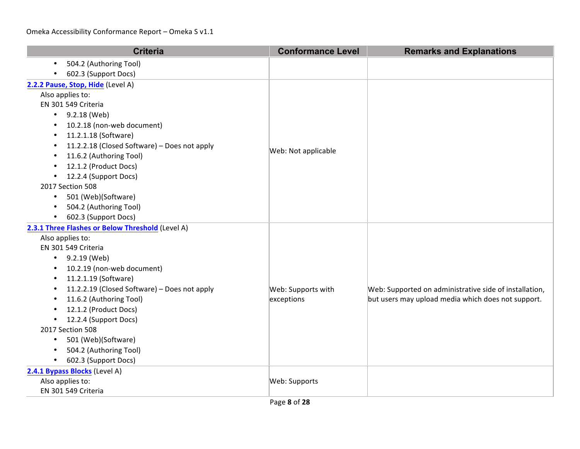| <b>Criteria</b>                                           | <b>Conformance Level</b> | <b>Remarks and Explanations</b>                        |
|-----------------------------------------------------------|--------------------------|--------------------------------------------------------|
| 504.2 (Authoring Tool)<br>$\bullet$                       |                          |                                                        |
| 602.3 (Support Docs)                                      |                          |                                                        |
| 2.2.2 Pause, Stop, Hide (Level A)                         |                          |                                                        |
| Also applies to:                                          |                          |                                                        |
| EN 301 549 Criteria                                       |                          |                                                        |
| $\bullet$ 9.2.18 (Web)                                    |                          |                                                        |
| 10.2.18 (non-web document)<br>$\bullet$                   |                          |                                                        |
| 11.2.1.18 (Software)<br>$\bullet$                         |                          |                                                        |
| 11.2.2.18 (Closed Software) - Does not apply<br>$\bullet$ | Web: Not applicable      |                                                        |
| 11.6.2 (Authoring Tool)<br>$\bullet$                      |                          |                                                        |
| 12.1.2 (Product Docs)<br>$\bullet$                        |                          |                                                        |
| 12.2.4 (Support Docs)<br>$\bullet$                        |                          |                                                        |
| 2017 Section 508                                          |                          |                                                        |
| 501 (Web)(Software)<br>$\bullet$                          |                          |                                                        |
| 504.2 (Authoring Tool)<br>$\bullet$                       |                          |                                                        |
| 602.3 (Support Docs)<br>$\bullet$                         |                          |                                                        |
| 2.3.1 Three Flashes or Below Threshold (Level A)          |                          |                                                        |
| Also applies to:                                          |                          |                                                        |
| EN 301 549 Criteria                                       |                          |                                                        |
| 9.2.19 (Web)<br>$\bullet$                                 |                          |                                                        |
| 10.2.19 (non-web document)<br>٠                           |                          |                                                        |
| 11.2.1.19 (Software)<br>$\bullet$                         |                          |                                                        |
| 11.2.2.19 (Closed Software) - Does not apply<br>$\bullet$ | Web: Supports with       | Web: Supported on administrative side of installation, |
| 11.6.2 (Authoring Tool)<br>$\bullet$                      | exceptions               | but users may upload media which does not support.     |
| 12.1.2 (Product Docs)<br>$\bullet$                        |                          |                                                        |
| 12.2.4 (Support Docs)<br>$\bullet$                        |                          |                                                        |
| 2017 Section 508                                          |                          |                                                        |
| 501 (Web)(Software)<br>$\bullet$                          |                          |                                                        |
| 504.2 (Authoring Tool)                                    |                          |                                                        |
| 602.3 (Support Docs)<br>$\bullet$                         |                          |                                                        |
| 2.4.1 Bypass Blocks (Level A)                             |                          |                                                        |
| Also applies to:                                          | Web: Supports            |                                                        |
| EN 301 549 Criteria                                       |                          |                                                        |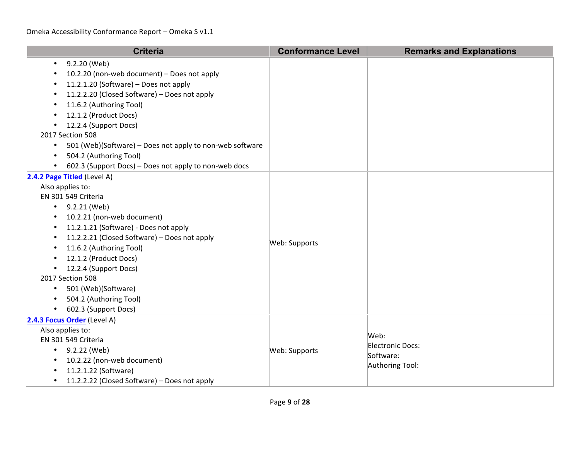| <b>Criteria</b>                                                                                                                                                                                                                                                                                                                                                                                                                                                                    | <b>Conformance Level</b> | <b>Remarks and Explanations</b>                          |
|------------------------------------------------------------------------------------------------------------------------------------------------------------------------------------------------------------------------------------------------------------------------------------------------------------------------------------------------------------------------------------------------------------------------------------------------------------------------------------|--------------------------|----------------------------------------------------------|
| 9.2.20 (Web)<br>$\bullet$<br>10.2.20 (non-web document) - Does not apply<br>11.2.1.20 (Software) - Does not apply<br>$\bullet$<br>11.2.2.20 (Closed Software) - Does not apply<br>11.6.2 (Authoring Tool)<br>12.1.2 (Product Docs)<br>12.2.4 (Support Docs)<br>$\bullet$<br>2017 Section 508<br>501 (Web)(Software) - Does not apply to non-web software<br>$\bullet$<br>504.2 (Authoring Tool)<br>$\bullet$<br>602.3 (Support Docs) - Does not apply to non-web docs<br>$\bullet$ |                          |                                                          |
| 2.4.2 Page Titled (Level A)<br>Also applies to:<br>EN 301 549 Criteria<br>• $9.2.21$ (Web)<br>10.2.21 (non-web document)<br>$\bullet$<br>11.2.1.21 (Software) - Does not apply<br>11.2.2.21 (Closed Software) - Does not apply<br>$\bullet$<br>11.6.2 (Authoring Tool)<br>12.1.2 (Product Docs)<br>12.2.4 (Support Docs)<br>2017 Section 508<br>501 (Web)(Software)<br>$\bullet$<br>504.2 (Authoring Tool)<br>$\bullet$<br>602.3 (Support Docs)                                    | Web: Supports            |                                                          |
| 2.4.3 Focus Order (Level A)<br>Also applies to:<br>EN 301 549 Criteria<br>• $9.2.22$ (Web)<br>10.2.22 (non-web document)<br>11.2.1.22 (Software)<br>11.2.2.22 (Closed Software) - Does not apply<br>$\bullet$                                                                                                                                                                                                                                                                      | Web: Supports            | Web:<br>Electronic Docs:<br>Software:<br>Authoring Tool: |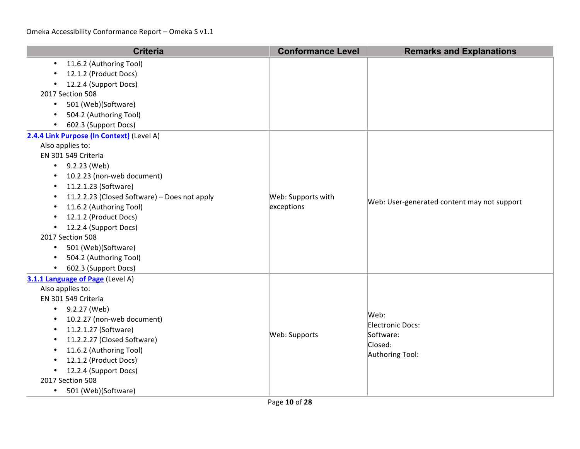| <b>Criteria</b>                                                                                                                                                                                                                                                                                                                                                                                                                       | <b>Conformance Level</b>         | <b>Remarks and Explanations</b>                                     |
|---------------------------------------------------------------------------------------------------------------------------------------------------------------------------------------------------------------------------------------------------------------------------------------------------------------------------------------------------------------------------------------------------------------------------------------|----------------------------------|---------------------------------------------------------------------|
| 11.6.2 (Authoring Tool)<br>$\bullet$<br>12.1.2 (Product Docs)<br>12.2.4 (Support Docs)<br>2017 Section 508<br>501 (Web)(Software)<br>$\bullet$<br>504.2 (Authoring Tool)<br>$\bullet$<br>602.3 (Support Docs)<br>$\bullet$                                                                                                                                                                                                            |                                  |                                                                     |
| 2.4.4 Link Purpose (In Context) (Level A)<br>Also applies to:<br>EN 301 549 Criteria<br>$\bullet$ 9.2.23 (Web)<br>10.2.23 (non-web document)<br>$\bullet$<br>11.2.1.23 (Software)<br>$\bullet$<br>11.2.2.23 (Closed Software) - Does not apply<br>11.6.2 (Authoring Tool)<br>12.1.2 (Product Docs)<br>12.2.4 (Support Docs)<br>2017 Section 508<br>501 (Web)(Software)<br>$\bullet$<br>504.2 (Authoring Tool)<br>602.3 (Support Docs) | Web: Supports with<br>exceptions | Web: User-generated content may not support                         |
| 3.1.1 Language of Page (Level A)<br>Also applies to:<br>EN 301 549 Criteria<br>9.2.27 (Web)<br>$\bullet$<br>10.2.27 (non-web document)<br>$\bullet$<br>11.2.1.27 (Software)<br>$\bullet$<br>11.2.2.27 (Closed Software)<br>11.6.2 (Authoring Tool)<br>12.1.2 (Product Docs)<br>12.2.4 (Support Docs)<br>$\bullet$<br>2017 Section 508<br>501 (Web)(Software)<br>$\bullet$                                                             | Web: Supports                    | Web:<br>Electronic Docs:<br>Software:<br>Closed:<br>Authoring Tool: |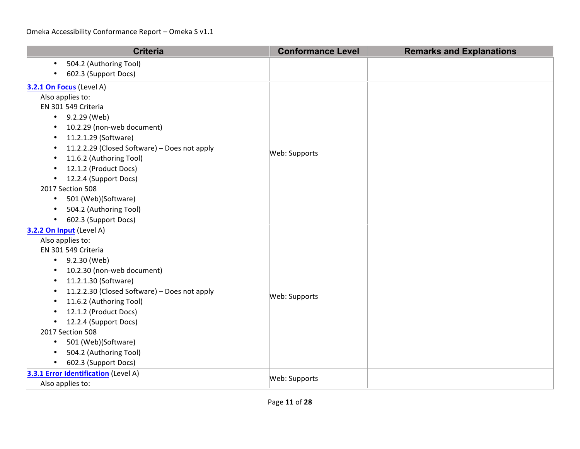| <b>Criteria</b>                                           | <b>Conformance Level</b> | <b>Remarks and Explanations</b> |
|-----------------------------------------------------------|--------------------------|---------------------------------|
| 504.2 (Authoring Tool)<br>$\bullet$                       |                          |                                 |
| 602.3 (Support Docs)                                      |                          |                                 |
| 3.2.1 On Focus (Level A)                                  |                          |                                 |
| Also applies to:                                          |                          |                                 |
| EN 301 549 Criteria                                       |                          |                                 |
| $-9.2.29$ (Web)                                           |                          |                                 |
| 10.2.29 (non-web document)<br>$\bullet$                   |                          |                                 |
| 11.2.1.29 (Software)<br>$\bullet$                         |                          |                                 |
| 11.2.2.29 (Closed Software) - Does not apply<br>$\bullet$ | Web: Supports            |                                 |
| 11.6.2 (Authoring Tool)<br>$\bullet$                      |                          |                                 |
| 12.1.2 (Product Docs)<br>$\bullet$                        |                          |                                 |
| 12.2.4 (Support Docs)<br>$\bullet$                        |                          |                                 |
| 2017 Section 508                                          |                          |                                 |
| 501 (Web)(Software)<br>$\bullet$                          |                          |                                 |
| 504.2 (Authoring Tool)<br>$\bullet$                       |                          |                                 |
| 602.3 (Support Docs)<br>$\bullet$                         |                          |                                 |
| 3.2.2 On Input (Level A)                                  |                          |                                 |
| Also applies to:                                          |                          |                                 |
| EN 301 549 Criteria                                       |                          |                                 |
| 9.2.30 (Web)<br>$\bullet$                                 |                          |                                 |
| 10.2.30 (non-web document)<br>٠                           |                          |                                 |
| 11.2.1.30 (Software)<br>$\bullet$                         |                          |                                 |
| 11.2.2.30 (Closed Software) - Does not apply<br>$\bullet$ | Web: Supports            |                                 |
| 11.6.2 (Authoring Tool)<br>$\bullet$                      |                          |                                 |
| 12.1.2 (Product Docs)<br>$\bullet$                        |                          |                                 |
| 12.2.4 (Support Docs)<br>٠                                |                          |                                 |
| 2017 Section 508                                          |                          |                                 |
| 501 (Web)(Software)<br>$\bullet$                          |                          |                                 |
| 504.2 (Authoring Tool)<br>$\bullet$                       |                          |                                 |
| 602.3 (Support Docs)<br>$\bullet$                         |                          |                                 |
| 3.3.1 Error Identification (Level A)                      | Web: Supports            |                                 |
| Also applies to:                                          |                          |                                 |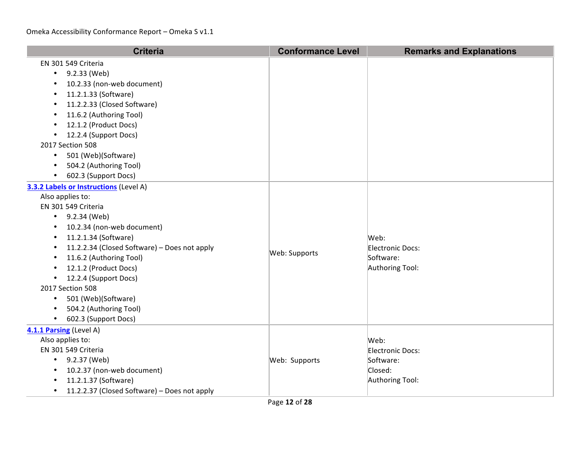| <b>Criteria</b>                                           | <b>Conformance Level</b> | <b>Remarks and Explanations</b> |
|-----------------------------------------------------------|--------------------------|---------------------------------|
| EN 301 549 Criteria                                       |                          |                                 |
| 9.2.33 (Web)<br>$\bullet$                                 |                          |                                 |
| 10.2.33 (non-web document)<br>$\bullet$                   |                          |                                 |
| 11.2.1.33 (Software)<br>$\bullet$                         |                          |                                 |
| 11.2.2.33 (Closed Software)<br>٠                          |                          |                                 |
| 11.6.2 (Authoring Tool)<br>$\bullet$                      |                          |                                 |
| 12.1.2 (Product Docs)<br>$\bullet$                        |                          |                                 |
| 12.2.4 (Support Docs)                                     |                          |                                 |
| 2017 Section 508                                          |                          |                                 |
| 501 (Web)(Software)<br>$\bullet$                          |                          |                                 |
| 504.2 (Authoring Tool)<br>$\bullet$                       |                          |                                 |
| 602.3 (Support Docs)<br>$\bullet$                         |                          |                                 |
| 3.3.2 Labels or Instructions (Level A)                    |                          |                                 |
| Also applies to:                                          |                          |                                 |
| EN 301 549 Criteria                                       |                          |                                 |
| 9.2.34 (Web)<br>$\bullet$                                 |                          |                                 |
| 10.2.34 (non-web document)<br>٠                           |                          |                                 |
| 11.2.1.34 (Software)<br>$\bullet$                         |                          | Web:                            |
| 11.2.2.34 (Closed Software) - Does not apply<br>٠         | Web: Supports            | Electronic Docs:                |
| 11.6.2 (Authoring Tool)<br>$\bullet$                      |                          | Software:                       |
| 12.1.2 (Product Docs)<br>$\bullet$                        |                          | Authoring Tool:                 |
| 12.2.4 (Support Docs)<br>$\bullet$                        |                          |                                 |
| 2017 Section 508                                          |                          |                                 |
| 501 (Web)(Software)<br>$\bullet$                          |                          |                                 |
| 504.2 (Authoring Tool)<br>$\bullet$                       |                          |                                 |
| 602.3 (Support Docs)<br>$\bullet$                         |                          |                                 |
| 4.1.1 Parsing (Level A)                                   |                          |                                 |
| Also applies to:                                          |                          | Web:                            |
| EN 301 549 Criteria                                       |                          | Electronic Docs:                |
| • $9.2.37$ (Web)                                          | Web: Supports            | Software:                       |
| 10.2.37 (non-web document)<br>$\bullet$                   |                          | Closed:                         |
| 11.2.1.37 (Software)<br>$\bullet$                         |                          | Authoring Tool:                 |
| 11.2.2.37 (Closed Software) - Does not apply<br>$\bullet$ |                          |                                 |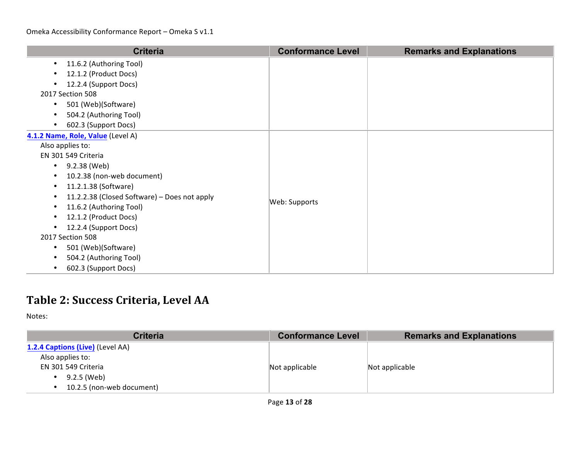| <b>Criteria</b>                                   | <b>Conformance Level</b> | <b>Remarks and Explanations</b> |
|---------------------------------------------------|--------------------------|---------------------------------|
| 11.6.2 (Authoring Tool)                           |                          |                                 |
| 12.1.2 (Product Docs)                             |                          |                                 |
| 12.2.4 (Support Docs)                             |                          |                                 |
| 2017 Section 508                                  |                          |                                 |
| 501 (Web)(Software)<br>$\bullet$                  |                          |                                 |
| 504.2 (Authoring Tool)                            |                          |                                 |
| 602.3 (Support Docs)                              |                          |                                 |
| 4.1.2 Name, Role, Value (Level A)                 |                          |                                 |
| Also applies to:                                  |                          |                                 |
| EN 301 549 Criteria                               |                          |                                 |
| 9.2.38 (Web)<br>$\bullet$                         |                          |                                 |
| 10.2.38 (non-web document)                        |                          |                                 |
| 11.2.1.38 (Software)                              |                          |                                 |
| 11.2.2.38 (Closed Software) - Does not apply<br>٠ | Web: Supports            |                                 |
| 11.6.2 (Authoring Tool)                           |                          |                                 |
| 12.1.2 (Product Docs)                             |                          |                                 |
| 12.2.4 (Support Docs)                             |                          |                                 |
| 2017 Section 508                                  |                          |                                 |
| 501 (Web)(Software)<br>٠                          |                          |                                 |
| 504.2 (Authoring Tool)                            |                          |                                 |
| 602.3 (Support Docs)                              |                          |                                 |

## **Table 2: Success Criteria, Level AA**

| <b>Criteria</b>                  | <b>Conformance Level</b> | <b>Remarks and Explanations</b> |
|----------------------------------|--------------------------|---------------------------------|
| 1.2.4 Captions (Live) (Level AA) |                          |                                 |
| Also applies to:                 |                          |                                 |
| EN 301 549 Criteria              | Not applicable           | Not applicable                  |
| 9.2.5 (Web)                      |                          |                                 |
| 10.2.5 (non-web document)        |                          |                                 |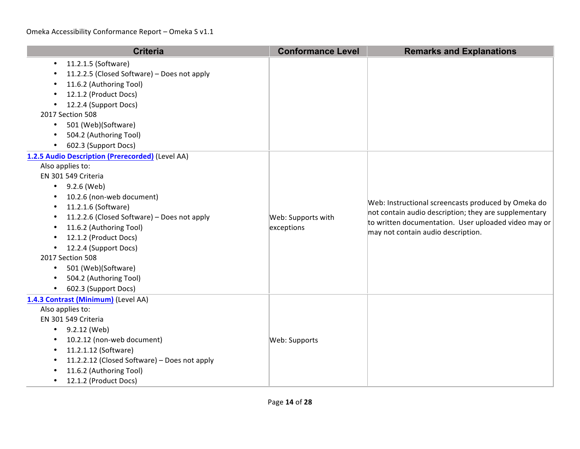| <b>Criteria</b>                                                                                                                                                                                                                                                                                                                                                                                      | <b>Conformance Level</b>         | <b>Remarks and Explanations</b>                                                                                                                                                                            |
|------------------------------------------------------------------------------------------------------------------------------------------------------------------------------------------------------------------------------------------------------------------------------------------------------------------------------------------------------------------------------------------------------|----------------------------------|------------------------------------------------------------------------------------------------------------------------------------------------------------------------------------------------------------|
| 11.2.1.5 (Software)<br>11.2.2.5 (Closed Software) - Does not apply<br>11.6.2 (Authoring Tool)<br>12.1.2 (Product Docs)<br>12.2.4 (Support Docs)<br>2017 Section 508<br>501 (Web)(Software)<br>$\bullet$<br>504.2 (Authoring Tool)<br>$\bullet$<br>602.3 (Support Docs)                                                                                                                               |                                  |                                                                                                                                                                                                            |
| 1.2.5 Audio Description (Prerecorded) (Level AA)<br>Also applies to:<br>EN 301 549 Criteria<br>9.2.6 (Web)<br>10.2.6 (non-web document)<br>11.2.1.6 (Software)<br>11.2.2.6 (Closed Software) - Does not apply<br>$\bullet$<br>11.6.2 (Authoring Tool)<br>12.1.2 (Product Docs)<br>12.2.4 (Support Docs)<br>2017 Section 508<br>501 (Web)(Software)<br>504.2 (Authoring Tool)<br>602.3 (Support Docs) | Web: Supports with<br>exceptions | Web: Instructional screencasts produced by Omeka do<br>not contain audio description; they are supplementary<br>to written documentation. User uploaded video may or<br>may not contain audio description. |
| 1.4.3 Contrast (Minimum) (Level AA)<br>Also applies to:<br>EN 301 549 Criteria<br>9.2.12 (Web)<br>10.2.12 (non-web document)<br>11.2.1.12 (Software)<br>11.2.2.12 (Closed Software) - Does not apply<br>11.6.2 (Authoring Tool)<br>12.1.2 (Product Docs)                                                                                                                                             | Web: Supports                    |                                                                                                                                                                                                            |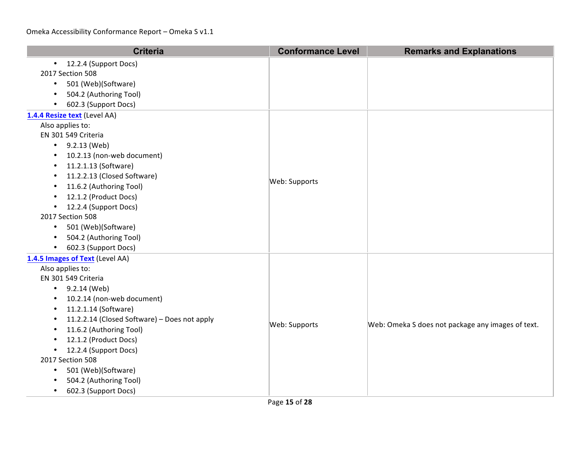| <b>Criteria</b>                                           | <b>Conformance Level</b> | <b>Remarks and Explanations</b>                   |
|-----------------------------------------------------------|--------------------------|---------------------------------------------------|
| • 12.2.4 (Support Docs)                                   |                          |                                                   |
| 2017 Section 508                                          |                          |                                                   |
| 501 (Web)(Software)<br>$\bullet$                          |                          |                                                   |
| 504.2 (Authoring Tool)                                    |                          |                                                   |
| 602.3 (Support Docs)                                      |                          |                                                   |
| 1.4.4 Resize text (Level AA)                              |                          |                                                   |
| Also applies to:                                          |                          |                                                   |
| EN 301 549 Criteria                                       |                          |                                                   |
| • $9.2.13$ (Web)                                          |                          |                                                   |
| 10.2.13 (non-web document)                                |                          |                                                   |
| 11.2.1.13 (Software)                                      |                          |                                                   |
| 11.2.2.13 (Closed Software)<br>$\bullet$                  | Web: Supports            |                                                   |
| 11.6.2 (Authoring Tool)<br>$\bullet$                      |                          |                                                   |
| 12.1.2 (Product Docs)                                     |                          |                                                   |
| 12.2.4 (Support Docs)<br>$\bullet$                        |                          |                                                   |
| 2017 Section 508                                          |                          |                                                   |
| 501 (Web)(Software)<br>$\bullet$                          |                          |                                                   |
| 504.2 (Authoring Tool)<br>$\bullet$                       |                          |                                                   |
| 602.3 (Support Docs)<br>$\bullet$                         |                          |                                                   |
| 1.4.5 Images of Text (Level AA)                           |                          |                                                   |
| Also applies to:                                          |                          |                                                   |
| EN 301 549 Criteria                                       |                          |                                                   |
| 9.2.14 (Web)<br>$\bullet$                                 |                          |                                                   |
| 10.2.14 (non-web document)<br>$\bullet$                   |                          |                                                   |
| 11.2.1.14 (Software)<br>$\bullet$                         |                          |                                                   |
| 11.2.2.14 (Closed Software) - Does not apply<br>$\bullet$ | Web: Supports            | Web: Omeka S does not package any images of text. |
| 11.6.2 (Authoring Tool)                                   |                          |                                                   |
| 12.1.2 (Product Docs)                                     |                          |                                                   |
| 12.2.4 (Support Docs)<br>$\bullet$                        |                          |                                                   |
| 2017 Section 508                                          |                          |                                                   |
| 501 (Web)(Software)<br>$\bullet$                          |                          |                                                   |
| 504.2 (Authoring Tool)                                    |                          |                                                   |
| 602.3 (Support Docs)                                      |                          |                                                   |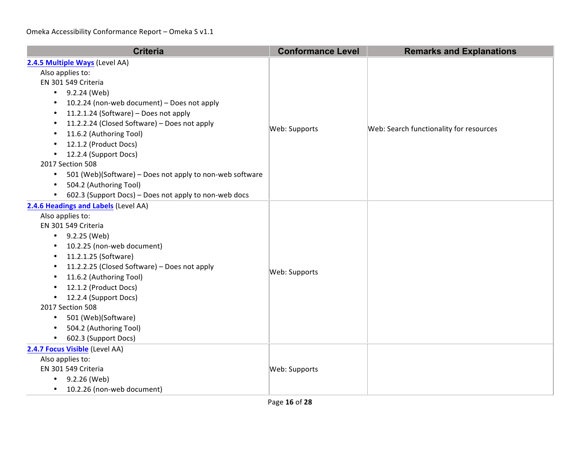| <b>Criteria</b>                                                       | <b>Conformance Level</b> | <b>Remarks and Explanations</b>         |
|-----------------------------------------------------------------------|--------------------------|-----------------------------------------|
| 2.4.5 Multiple Ways (Level AA)                                        |                          |                                         |
| Also applies to:                                                      |                          | Web: Search functionality for resources |
| EN 301 549 Criteria                                                   |                          |                                         |
| 9.2.24 (Web)<br>$\bullet$                                             |                          |                                         |
| 10.2.24 (non-web document) - Does not apply<br>٠                      |                          |                                         |
| 11.2.1.24 (Software) - Does not apply<br>$\bullet$                    |                          |                                         |
| 11.2.2.24 (Closed Software) - Does not apply<br>$\bullet$             | Web: Supports            |                                         |
| 11.6.2 (Authoring Tool)<br>$\bullet$                                  |                          |                                         |
| 12.1.2 (Product Docs)<br>$\bullet$                                    |                          |                                         |
| 12.2.4 (Support Docs)<br>$\bullet$                                    |                          |                                         |
| 2017 Section 508                                                      |                          |                                         |
| 501 (Web)(Software) - Does not apply to non-web software<br>$\bullet$ |                          |                                         |
| 504.2 (Authoring Tool)<br>$\bullet$                                   |                          |                                         |
| 602.3 (Support Docs) - Does not apply to non-web docs<br>$\bullet$    |                          |                                         |
| 2.4.6 Headings and Labels (Level AA)                                  |                          |                                         |
| Also applies to:                                                      |                          |                                         |
| EN 301 549 Criteria                                                   |                          |                                         |
| • $9.2.25$ (Web)                                                      |                          |                                         |
| 10.2.25 (non-web document)<br>$\bullet$                               |                          |                                         |
| 11.2.1.25 (Software)<br>٠                                             |                          |                                         |
| 11.2.2.25 (Closed Software) - Does not apply<br>٠                     | Web: Supports            |                                         |
| 11.6.2 (Authoring Tool)<br>$\bullet$                                  |                          |                                         |
| 12.1.2 (Product Docs)<br>$\bullet$                                    |                          |                                         |
| • 12.2.4 (Support Docs)                                               |                          |                                         |
| 2017 Section 508                                                      |                          |                                         |
| 501 (Web)(Software)<br>$\bullet$                                      |                          |                                         |
| 504.2 (Authoring Tool)<br>$\bullet$                                   |                          |                                         |
| 602.3 (Support Docs)<br>$\bullet$                                     |                          |                                         |
| 2.4.7 Focus Visible (Level AA)                                        |                          |                                         |
| Also applies to:                                                      |                          |                                         |
| EN 301 549 Criteria                                                   | Web: Supports            |                                         |
| 9.2.26 (Web)<br>$\bullet$                                             |                          |                                         |
| 10.2.26 (non-web document)<br>$\bullet$                               |                          |                                         |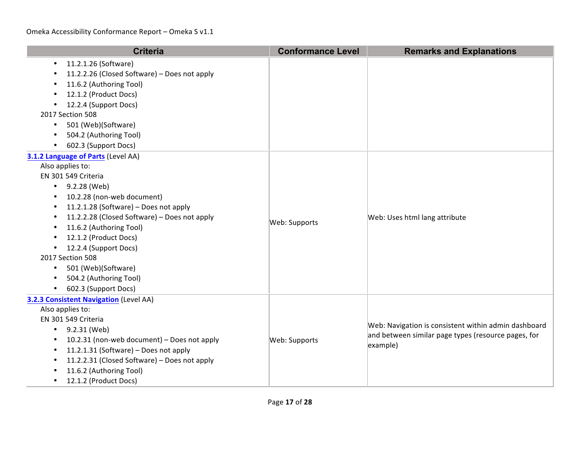| <b>Criteria</b>                                                                                                                                                                                                                                                                                                                                                                                             | <b>Conformance Level</b> | <b>Remarks and Explanations</b>                                                                                         |
|-------------------------------------------------------------------------------------------------------------------------------------------------------------------------------------------------------------------------------------------------------------------------------------------------------------------------------------------------------------------------------------------------------------|--------------------------|-------------------------------------------------------------------------------------------------------------------------|
| 11.2.1.26 (Software)<br>$\bullet$<br>11.2.2.26 (Closed Software) - Does not apply<br>11.6.2 (Authoring Tool)<br>$\bullet$<br>12.1.2 (Product Docs)<br>12.2.4 (Support Docs)<br>2017 Section 508<br>501 (Web)(Software)<br>$\bullet$<br>504.2 (Authoring Tool)<br>$\bullet$<br>602.3 (Support Docs)                                                                                                          |                          |                                                                                                                         |
| 3.1.2 Language of Parts (Level AA)<br>Also applies to:<br>EN 301 549 Criteria<br>9.2.28 (Web)<br>10.2.28 (non-web document)<br>11.2.1.28 (Software) - Does not apply<br>11.2.2.28 (Closed Software) - Does not apply<br>$\bullet$<br>11.6.2 (Authoring Tool)<br>12.1.2 (Product Docs)<br>12.2.4 (Support Docs)<br>2017 Section 508<br>501 (Web)(Software)<br>504.2 (Authoring Tool)<br>602.3 (Support Docs) | Web: Supports            | Web: Uses html lang attribute                                                                                           |
| 3.2.3 Consistent Navigation (Level AA)<br>Also applies to:<br>EN 301 549 Criteria<br>9.2.31 (Web)<br>$\bullet$<br>10.2.31 (non-web document) - Does not apply<br>$\bullet$<br>11.2.1.31 (Software) - Does not apply<br>$\bullet$<br>11.2.2.31 (Closed Software) - Does not apply<br>11.6.2 (Authoring Tool)<br>12.1.2 (Product Docs)                                                                        | Web: Supports            | Web: Navigation is consistent within admin dashboard<br>and between similar page types (resource pages, for<br>example) |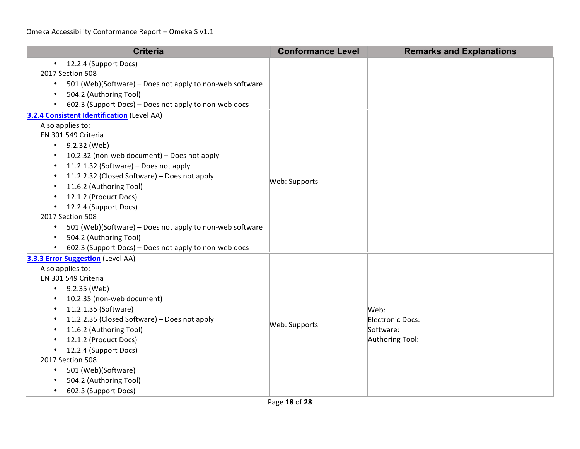| <b>Criteria</b>                                                       | <b>Conformance Level</b> | <b>Remarks and Explanations</b> |
|-----------------------------------------------------------------------|--------------------------|---------------------------------|
| 12.2.4 (Support Docs)                                                 |                          |                                 |
| 2017 Section 508                                                      |                          |                                 |
| 501 (Web)(Software) - Does not apply to non-web software<br>$\bullet$ |                          |                                 |
| 504.2 (Authoring Tool)                                                |                          |                                 |
| 602.3 (Support Docs) - Does not apply to non-web docs                 |                          |                                 |
| 3.2.4 Consistent Identification (Level AA)                            |                          |                                 |
| Also applies to:                                                      |                          |                                 |
| EN 301 549 Criteria                                                   |                          |                                 |
| • $9.2.32$ (Web)                                                      |                          |                                 |
| 10.2.32 (non-web document) - Does not apply                           |                          |                                 |
| 11.2.1.32 (Software) - Does not apply                                 |                          |                                 |
| 11.2.2.32 (Closed Software) - Does not apply                          | Web: Supports            |                                 |
| 11.6.2 (Authoring Tool)                                               |                          |                                 |
| 12.1.2 (Product Docs)                                                 |                          |                                 |
| 12.2.4 (Support Docs)                                                 |                          |                                 |
| 2017 Section 508                                                      |                          |                                 |
| 501 (Web)(Software) - Does not apply to non-web software<br>$\bullet$ |                          |                                 |
| 504.2 (Authoring Tool)                                                |                          |                                 |
| 602.3 (Support Docs) - Does not apply to non-web docs                 |                          |                                 |
| 3.3.3 Error Suggestion (Level AA)                                     |                          |                                 |
| Also applies to:                                                      |                          |                                 |
| EN 301 549 Criteria                                                   |                          |                                 |
| • $9.2.35$ (Web)                                                      |                          |                                 |
| 10.2.35 (non-web document)                                            |                          |                                 |
| 11.2.1.35 (Software)                                                  |                          | Web:                            |
| 11.2.2.35 (Closed Software) - Does not apply                          | Web: Supports            | Electronic Docs:                |
| 11.6.2 (Authoring Tool)                                               |                          | Software:                       |
| 12.1.2 (Product Docs)                                                 |                          | Authoring Tool:                 |
| 12.2.4 (Support Docs)<br>$\bullet$                                    |                          |                                 |
| 2017 Section 508                                                      |                          |                                 |
| 501 (Web)(Software)                                                   |                          |                                 |
| 504.2 (Authoring Tool)                                                |                          |                                 |
| 602.3 (Support Docs)                                                  |                          |                                 |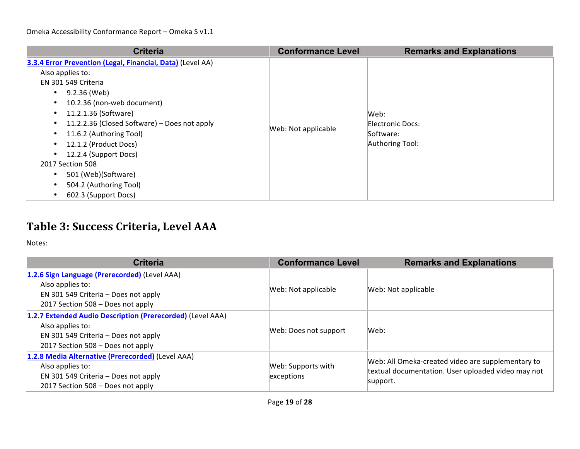| <b>Criteria</b>                                            | <b>Conformance Level</b> | <b>Remarks and Explanations</b> |
|------------------------------------------------------------|--------------------------|---------------------------------|
| 3.3.4 Error Prevention (Legal, Financial, Data) (Level AA) |                          |                                 |
| Also applies to:                                           |                          |                                 |
| EN 301 549 Criteria                                        |                          |                                 |
| 9.2.36 (Web)<br>$\bullet$                                  |                          |                                 |
| 10.2.36 (non-web document)                                 |                          | Web:<br>Electronic Docs:        |
| 11.2.1.36 (Software)<br>$\bullet$                          |                          |                                 |
| 11.2.2.36 (Closed Software) - Does not apply               |                          |                                 |
| 11.6.2 (Authoring Tool)<br>٠                               | Web: Not applicable      | Software:                       |
| 12.1.2 (Product Docs)                                      |                          | Authoring Tool:                 |
| 12.2.4 (Support Docs)                                      |                          |                                 |
| 2017 Section 508                                           |                          |                                 |
| 501 (Web)(Software)<br>٠                                   |                          |                                 |
| 504.2 (Authoring Tool)                                     |                          |                                 |
| 602.3 (Support Docs)                                       |                          |                                 |

## **Table 3: Success Criteria, Level AAA**

| <b>Criteria</b>                                                                                                                                             | <b>Conformance Level</b>         | <b>Remarks and Explanations</b>                                                                                     |
|-------------------------------------------------------------------------------------------------------------------------------------------------------------|----------------------------------|---------------------------------------------------------------------------------------------------------------------|
| 1.2.6 Sign Language (Prerecorded) (Level AAA)<br>Also applies to:<br>EN 301 549 Criteria - Does not apply<br>2017 Section 508 – Does not apply              | Web: Not applicable              | Web: Not applicable                                                                                                 |
| 1.2.7 Extended Audio Description (Prerecorded) (Level AAA)<br>Also applies to:<br>EN 301 549 Criteria – Does not apply<br>2017 Section 508 - Does not apply | Web: Does not support            | Web:                                                                                                                |
| 1.2.8 Media Alternative (Prerecorded) (Level AAA)<br>Also applies to:<br>EN 301 549 Criteria - Does not apply<br>2017 Section 508 - Does not apply          | Web: Supports with<br>exceptions | Web: All Omeka-created video are supplementary to<br>textual documentation. User uploaded video may not<br>support. |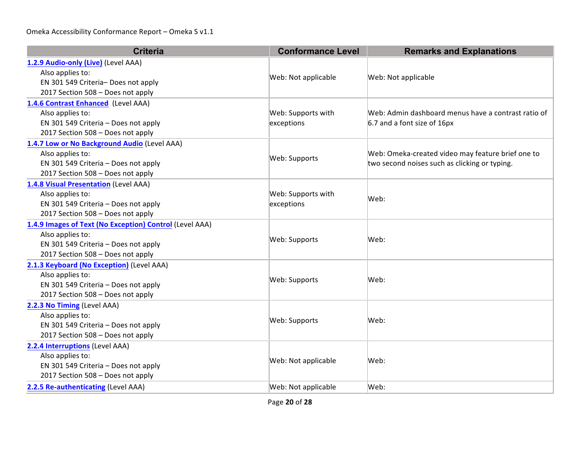| <b>Criteria</b>                                         | <b>Conformance Level</b> | <b>Remarks and Explanations</b>                     |
|---------------------------------------------------------|--------------------------|-----------------------------------------------------|
| 1.2.9 Audio-only (Live) (Level AAA)                     |                          |                                                     |
| Also applies to:                                        | Web: Not applicable      | Web: Not applicable                                 |
| EN 301 549 Criteria- Does not apply                     |                          |                                                     |
| 2017 Section 508 - Does not apply                       |                          |                                                     |
| 1.4.6 Contrast Enhanced (Level AAA)                     |                          |                                                     |
| Also applies to:                                        | Web: Supports with       | Web: Admin dashboard menus have a contrast ratio of |
| EN 301 549 Criteria - Does not apply                    | exceptions               | 6.7 and a font size of 16px                         |
| 2017 Section 508 - Does not apply                       |                          |                                                     |
| 1.4.7 Low or No Background Audio (Level AAA)            |                          |                                                     |
| Also applies to:                                        | Web: Supports            | Web: Omeka-created video may feature brief one to   |
| EN 301 549 Criteria - Does not apply                    |                          | two second noises such as clicking or typing.       |
| 2017 Section 508 - Does not apply                       |                          |                                                     |
| 1.4.8 Visual Presentation (Level AAA)                   |                          |                                                     |
| Also applies to:                                        | Web: Supports with       | Web:                                                |
| EN 301 549 Criteria - Does not apply                    | exceptions               |                                                     |
| 2017 Section 508 - Does not apply                       |                          |                                                     |
| 1.4.9 Images of Text (No Exception) Control (Level AAA) |                          | Web:                                                |
| Also applies to:                                        | Web: Supports            |                                                     |
| EN 301 549 Criteria - Does not apply                    |                          |                                                     |
| 2017 Section 508 - Does not apply                       |                          |                                                     |
| 2.1.3 Keyboard (No Exception) (Level AAA)               |                          |                                                     |
| Also applies to:                                        | Web: Supports            | Web:                                                |
| EN 301 549 Criteria - Does not apply                    |                          |                                                     |
| 2017 Section 508 - Does not apply                       |                          |                                                     |
| 2.2.3 No Timing (Level AAA)                             |                          | Web:                                                |
| Also applies to:                                        | Web: Supports            |                                                     |
| EN 301 549 Criteria - Does not apply                    |                          |                                                     |
| 2017 Section 508 - Does not apply                       |                          |                                                     |
| 2.2.4 Interruptions (Level AAA)                         |                          |                                                     |
| Also applies to:                                        | Web: Not applicable      | Web:                                                |
| EN 301 549 Criteria - Does not apply                    |                          |                                                     |
| 2017 Section 508 - Does not apply                       |                          |                                                     |
| 2.2.5 Re-authenticating (Level AAA)                     | Web: Not applicable      | Web:                                                |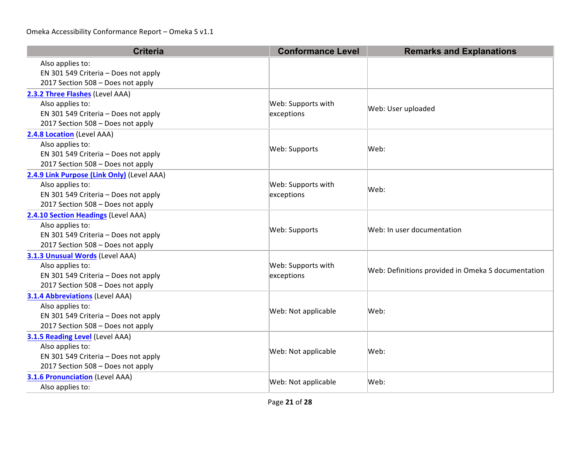| <b>Criteria</b>                            | <b>Conformance Level</b> | <b>Remarks and Explanations</b>                    |
|--------------------------------------------|--------------------------|----------------------------------------------------|
| Also applies to:                           |                          |                                                    |
| EN 301 549 Criteria - Does not apply       |                          |                                                    |
| 2017 Section 508 - Does not apply          |                          |                                                    |
| 2.3.2 Three Flashes (Level AAA)            |                          |                                                    |
| Also applies to:                           | Web: Supports with       | Web: User uploaded                                 |
| EN 301 549 Criteria - Does not apply       | exceptions               |                                                    |
| 2017 Section 508 - Does not apply          |                          |                                                    |
| 2.4.8 Location (Level AAA)                 |                          |                                                    |
| Also applies to:                           | Web: Supports            | Web:                                               |
| EN 301 549 Criteria - Does not apply       |                          |                                                    |
| 2017 Section 508 - Does not apply          |                          |                                                    |
| 2.4.9 Link Purpose (Link Only) (Level AAA) |                          |                                                    |
| Also applies to:                           | Web: Supports with       | Web:                                               |
| EN 301 549 Criteria - Does not apply       | exceptions               |                                                    |
| 2017 Section 508 - Does not apply          |                          |                                                    |
| 2.4.10 Section Headings (Level AAA)        |                          |                                                    |
| Also applies to:                           | Web: Supports            | Web: In user documentation                         |
| EN 301 549 Criteria - Does not apply       |                          |                                                    |
| 2017 Section 508 - Does not apply          |                          |                                                    |
| 3.1.3 Unusual Words (Level AAA)            |                          |                                                    |
| Also applies to:                           | Web: Supports with       | Web: Definitions provided in Omeka S documentation |
| EN 301 549 Criteria - Does not apply       | exceptions               |                                                    |
| 2017 Section 508 - Does not apply          |                          |                                                    |
| <b>3.1.4 Abbreviations (Level AAA)</b>     |                          |                                                    |
| Also applies to:                           | Web: Not applicable      | Web:                                               |
| EN 301 549 Criteria - Does not apply       |                          |                                                    |
| 2017 Section 508 - Does not apply          |                          |                                                    |
| 3.1.5 Reading Level (Level AAA)            |                          |                                                    |
| Also applies to:                           | Web: Not applicable      | Web:                                               |
| EN 301 549 Criteria - Does not apply       |                          |                                                    |
| 2017 Section 508 - Does not apply          |                          |                                                    |
| <b>3.1.6 Pronunciation (Level AAA)</b>     | Web: Not applicable      | Web:                                               |
| Also applies to:                           |                          |                                                    |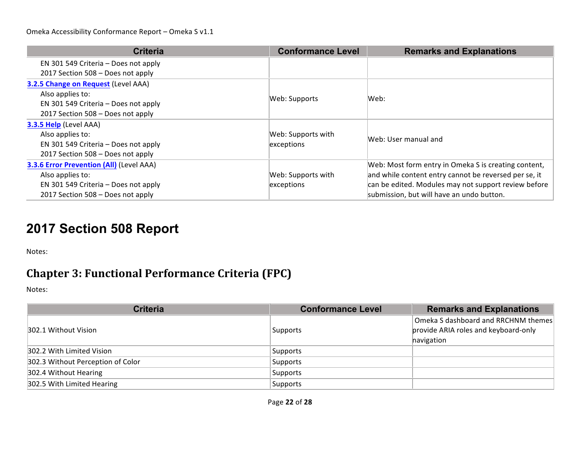| <b>Criteria</b>                                 | <b>Conformance Level</b> | <b>Remarks and Explanations</b>                       |
|-------------------------------------------------|--------------------------|-------------------------------------------------------|
| EN 301 549 Criteria – Does not apply            |                          |                                                       |
| 2017 Section 508 - Does not apply               |                          |                                                       |
| 3.2.5 Change on Request (Level AAA)             |                          |                                                       |
| Also applies to:                                | Web: Supports            | Web:                                                  |
| EN 301 549 Criteria - Does not apply            |                          |                                                       |
| 2017 Section 508 – Does not apply               |                          |                                                       |
| 3.3.5 Help (Level AAA)                          |                          |                                                       |
| Also applies to:                                | Web: Supports with       | Web: User manual and                                  |
| EN 301 549 Criteria - Does not apply            | exceptions               |                                                       |
| 2017 Section 508 - Does not apply               |                          |                                                       |
| <b>3.3.6 Error Prevention (All) (Level AAA)</b> |                          | Web: Most form entry in Omeka S is creating content,  |
| Also applies to:                                | Web: Supports with       | and while content entry cannot be reversed per se, it |
| EN 301 549 Criteria - Does not apply            | exceptions               | can be edited. Modules may not support review before  |
| 2017 Section 508 - Does not apply               |                          | submission, but will have an undo button.             |

# **2017 Section 508 Report**

Notes:

## **Chapter 3: Functional Performance Criteria (FPC)**

| <b>Criteria</b>                   | <b>Conformance Level</b> | <b>Remarks and Explanations</b>                                                             |
|-----------------------------------|--------------------------|---------------------------------------------------------------------------------------------|
| 302.1 Without Vision              | Supports                 | $\vert$ Omeka S dashboard and RRCHNM themes $\vert$<br>provide ARIA roles and keyboard-only |
|                                   |                          | havigation                                                                                  |
| 302.2 With Limited Vision         | Supports                 |                                                                                             |
| 302.3 Without Perception of Color | Supports                 |                                                                                             |
| 302.4 Without Hearing             | Supports                 |                                                                                             |
| 302.5 With Limited Hearing        | Supports                 |                                                                                             |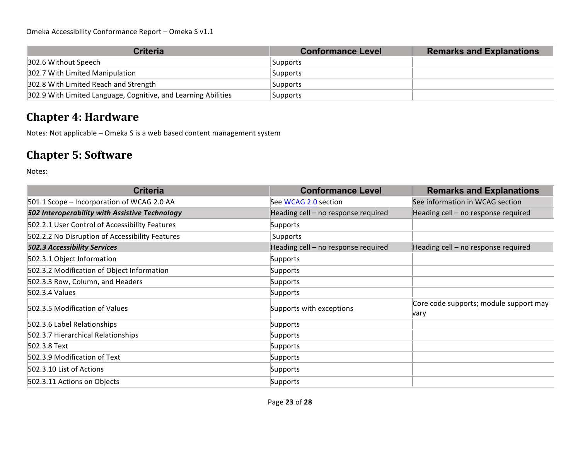| <b>Criteria</b>                                                | <b>Conformance Level</b> | <b>Remarks and Explanations</b> |
|----------------------------------------------------------------|--------------------------|---------------------------------|
| 302.6 Without Speech                                           | Supports                 |                                 |
| 302.7 With Limited Manipulation                                | Supports                 |                                 |
| 302.8 With Limited Reach and Strength                          | Supports                 |                                 |
| 302.9 With Limited Language, Cognitive, and Learning Abilities | Supports                 |                                 |

## **Chapter 4: Hardware**

Notes: Not applicable - Omeka S is a web based content management system

## **Chapter 5: Software**

| <b>Criteria</b>                                 | <b>Conformance Level</b>            | <b>Remarks and Explanations</b>                |
|-------------------------------------------------|-------------------------------------|------------------------------------------------|
| 501.1 Scope - Incorporation of WCAG 2.0 AA      | See WCAG 2.0 section                | See information in WCAG section                |
| 502 Interoperability with Assistive Technology  | Heading cell - no response required | Heading cell - no response required            |
| 502.2.1 User Control of Accessibility Features  | Supports                            |                                                |
| 502.2.2 No Disruption of Accessibility Features | Supports                            |                                                |
| <b>502.3 Accessibility Services</b>             | Heading cell - no response required | Heading cell - no response required            |
| 502.3.1 Object Information                      | Supports                            |                                                |
| 502.3.2 Modification of Object Information      | Supports                            |                                                |
| 502.3.3 Row, Column, and Headers                | Supports                            |                                                |
| 502.3.4 Values                                  | Supports                            |                                                |
| 502.3.5 Modification of Values                  | Supports with exceptions            | Core code supports; module support may<br>vary |
| 502.3.6 Label Relationships                     | Supports                            |                                                |
| 502.3.7 Hierarchical Relationships              | Supports                            |                                                |
| 502.3.8 Text                                    | Supports                            |                                                |
| 502.3.9 Modification of Text                    | Supports                            |                                                |
| 502.3.10 List of Actions                        | Supports                            |                                                |
| 502.3.11 Actions on Objects                     | Supports                            |                                                |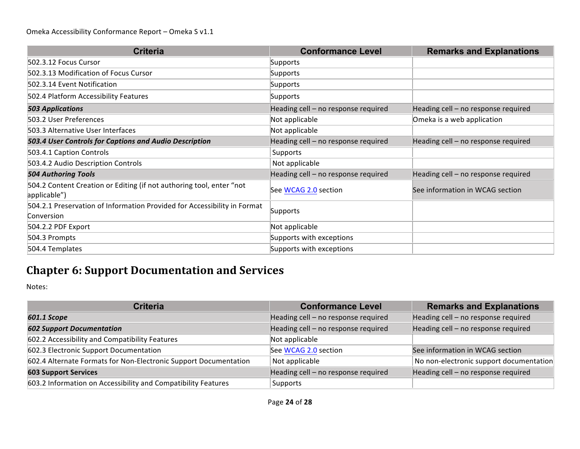| <b>Criteria</b>                                                                        | <b>Conformance Level</b>            | <b>Remarks and Explanations</b>     |
|----------------------------------------------------------------------------------------|-------------------------------------|-------------------------------------|
| 502.3.12 Focus Cursor                                                                  | Supports                            |                                     |
| 502.3.13 Modification of Focus Cursor                                                  | Supports                            |                                     |
| 502.3.14 Event Notification                                                            | Supports                            |                                     |
| 502.4 Platform Accessibility Features                                                  | Supports                            |                                     |
| <b>503 Applications</b>                                                                | Heading cell - no response required | Heading cell - no response required |
| 503.2 User Preferences                                                                 | Not applicable                      | Omeka is a web application          |
| 503.3 Alternative User Interfaces                                                      | Not applicable                      |                                     |
| 503.4 User Controls for Captions and Audio Description                                 | Heading cell - no response required | Heading cell - no response required |
| 503.4.1 Caption Controls                                                               | Supports                            |                                     |
| 503.4.2 Audio Description Controls                                                     | Not applicable                      |                                     |
| <b>504 Authoring Tools</b>                                                             | Heading cell - no response required | Heading cell - no response required |
| 504.2 Content Creation or Editing (if not authoring tool, enter "not<br>applicable")   | See WCAG 2.0 section                | See information in WCAG section     |
| 504.2.1 Preservation of Information Provided for Accessibility in Format<br>Conversion | Supports                            |                                     |
| 504.2.2 PDF Export                                                                     | Not applicable                      |                                     |
| 504.3 Prompts                                                                          | Supports with exceptions            |                                     |
| 504.4 Templates                                                                        | Supports with exceptions            |                                     |

## **Chapter 6: Support Documentation and Services**

| <b>Criteria</b>                                                  | <b>Conformance Level</b>            | <b>Remarks and Explanations</b>         |
|------------------------------------------------------------------|-------------------------------------|-----------------------------------------|
| 601.1 Scope                                                      | Heading cell - no response required | Heading cell - no response required     |
| <b>602 Support Documentation</b>                                 | Heading cell - no response required | Heading cell - no response required     |
| 602.2 Accessibility and Compatibility Features                   | Not applicable                      |                                         |
| 602.3 Electronic Support Documentation                           | See WCAG 2.0 section                | See information in WCAG section         |
| 602.4 Alternate Formats for Non-Electronic Support Documentation | Not applicable                      | No non-electronic support documentation |
| <b>603 Support Services</b>                                      | Heading cell - no response required | Heading cell - no response required     |
| 603.2 Information on Accessibility and Compatibility Features    | Supports                            |                                         |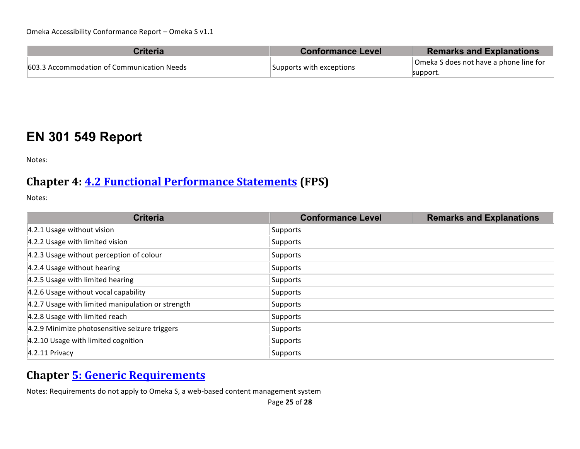| <b>Criteria</b>                            | <b>Conformance Level</b> | <b>Remarks and Explanations</b>        |
|--------------------------------------------|--------------------------|----------------------------------------|
| 603.3 Accommodation of Communication Needs | Supports with exceptions | Omeka S does not have a phone line for |
|                                            |                          | support.                               |

## **EN 301 549 Report**

Notes:

#### **Chapter 4: 4.2 Functional Performance Statements (FPS)**

Notes:

| <b>Criteria</b>                                   | <b>Conformance Level</b> | <b>Remarks and Explanations</b> |
|---------------------------------------------------|--------------------------|---------------------------------|
| 4.2.1 Usage without vision                        | Supports                 |                                 |
| 4.2.2 Usage with limited vision                   | Supports                 |                                 |
| 4.2.3 Usage without perception of colour          | Supports                 |                                 |
| 4.2.4 Usage without hearing                       | Supports                 |                                 |
| 4.2.5 Usage with limited hearing                  | Supports                 |                                 |
| 4.2.6 Usage without vocal capability              | Supports                 |                                 |
| 4.2.7 Usage with limited manipulation or strength | Supports                 |                                 |
| 4.2.8 Usage with limited reach                    | Supports                 |                                 |
| 4.2.9 Minimize photosensitive seizure triggers    | Supports                 |                                 |
| 4.2.10 Usage with limited cognition               | Supports                 |                                 |
| 4.2.11 Privacy                                    | Supports                 |                                 |

## **Chapter 5: Generic Requirements**

Notes: Requirements do not apply to Omeka S, a web-based content management system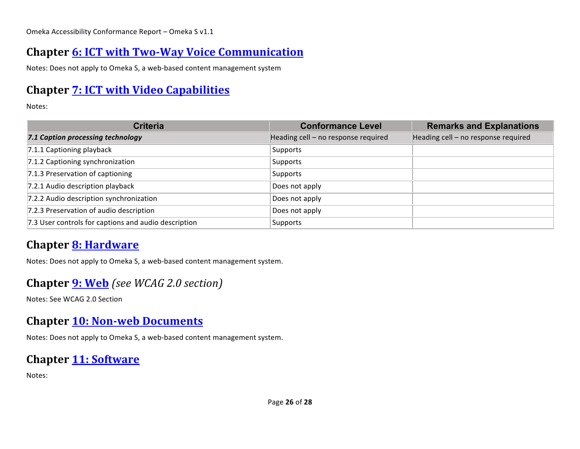## **Chapter 6: ICT with Two-Way Voice Communication**

Notes: Does not apply to Omeka S, a web-based content management system

## **Chapter 7: ICT with Video Capabilities**

Notes:

| <b>Criteria</b>                                      | <b>Conformance Level</b>            | <b>Remarks and Explanations</b>     |
|------------------------------------------------------|-------------------------------------|-------------------------------------|
| 7.1 Caption processing technology                    | Heading cell - no response required | Heading cell - no response required |
| 7.1.1 Captioning playback                            | Supports                            |                                     |
| 7.1.2 Captioning synchronization                     | Supports                            |                                     |
| 7.1.3 Preservation of captioning                     | Supports                            |                                     |
| 7.2.1 Audio description playback                     | Does not apply                      |                                     |
| 7.2.2 Audio description synchronization              | Does not apply                      |                                     |
| 7.2.3 Preservation of audio description              | Does not apply                      |                                     |
| 7.3 User controls for captions and audio description | Supports                            |                                     |

#### **Chapter 8: Hardware**

Notes: Does not apply to Omeka S, a web-based content management system.

#### **Chapter <b>9:** Web *(see WCAG 2.0 section)*

Notes: See WCAG 2.0 Section

#### **Chapter 10: Non-web Documents**

Notes: Does not apply to Omeka S, a web-based content management system.

#### **Chapter 11: Software**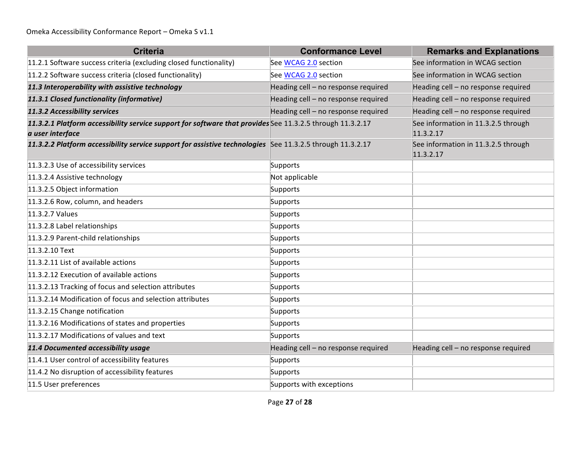| <b>Criteria</b>                                                                                                               | <b>Conformance Level</b>            | <b>Remarks and Explanations</b>                  |
|-------------------------------------------------------------------------------------------------------------------------------|-------------------------------------|--------------------------------------------------|
| 11.2.1 Software success criteria (excluding closed functionality)                                                             | See WCAG 2.0 section                | See information in WCAG section                  |
| 11.2.2 Software success criteria (closed functionality)                                                                       | See WCAG 2.0 section                | See information in WCAG section                  |
| 11.3 Interoperability with assistive technology                                                                               | Heading cell - no response required | Heading cell - no response required              |
| 11.3.1 Closed functionality (informative)                                                                                     | Heading cell - no response required | Heading cell - no response required              |
| 11.3.2 Accessibility services                                                                                                 | Heading cell - no response required | Heading cell - no response required              |
| 11.3.2.1 Platform accessibility service support for software that provides See 11.3.2.5 through 11.3.2.17<br>a user interface |                                     | See information in 11.3.2.5 through<br>11.3.2.17 |
| 11.3.2.2 Platform accessibility service support for assistive technologies See 11.3.2.5 through 11.3.2.17                     |                                     | See information in 11.3.2.5 through<br>11.3.2.17 |
| 11.3.2.3 Use of accessibility services                                                                                        | Supports                            |                                                  |
| 11.3.2.4 Assistive technology                                                                                                 | Not applicable                      |                                                  |
| 11.3.2.5 Object information                                                                                                   | Supports                            |                                                  |
| 11.3.2.6 Row, column, and headers                                                                                             | Supports                            |                                                  |
| 11.3.2.7 Values                                                                                                               | Supports                            |                                                  |
| 11.3.2.8 Label relationships                                                                                                  | Supports                            |                                                  |
| 11.3.2.9 Parent-child relationships                                                                                           | Supports                            |                                                  |
| 11.3.2.10 Text                                                                                                                | Supports                            |                                                  |
| 11.3.2.11 List of available actions                                                                                           | Supports                            |                                                  |
| 11.3.2.12 Execution of available actions                                                                                      | Supports                            |                                                  |
| 11.3.2.13 Tracking of focus and selection attributes                                                                          | Supports                            |                                                  |
| 11.3.2.14 Modification of focus and selection attributes                                                                      | Supports                            |                                                  |
| 11.3.2.15 Change notification                                                                                                 | Supports                            |                                                  |
| 11.3.2.16 Modifications of states and properties                                                                              | Supports                            |                                                  |
| 11.3.2.17 Modifications of values and text                                                                                    | Supports                            |                                                  |
| 11.4 Documented accessibility usage                                                                                           | Heading cell - no response required | Heading cell - no response required              |
| 11.4.1 User control of accessibility features                                                                                 | Supports                            |                                                  |
| 11.4.2 No disruption of accessibility features                                                                                | Supports                            |                                                  |
| 11.5 User preferences                                                                                                         | Supports with exceptions            |                                                  |